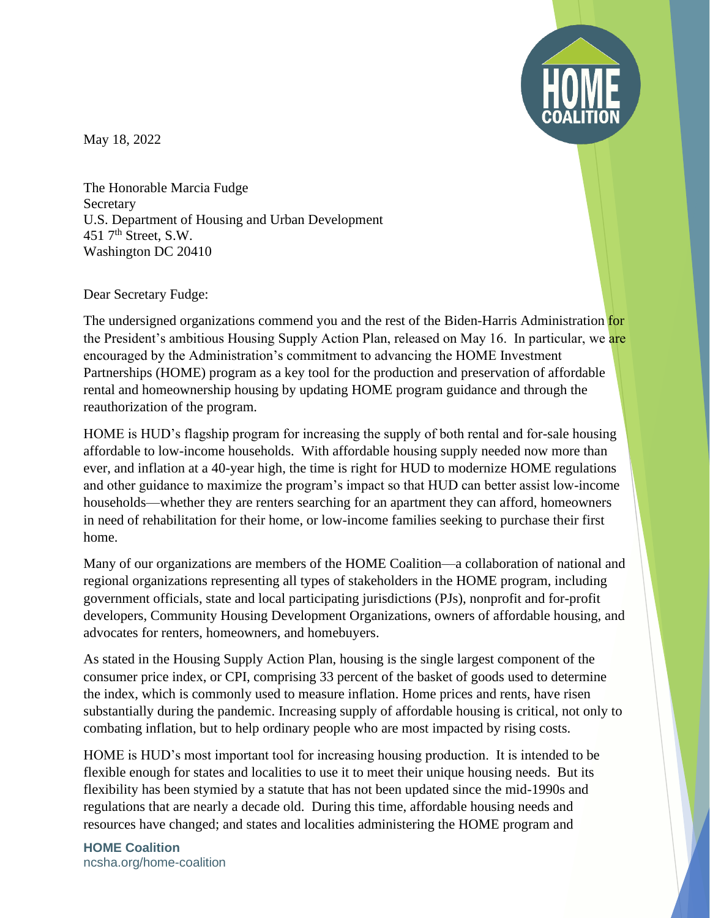

May 18, 2022

The Honorable Marcia Fudge Secretary U.S. Department of Housing and Urban Development 451  $7<sup>th</sup>$  Street, S.W. Washington DC 20410

Dear Secretary Fudge:

The undersigned organizations commend you and the rest of the Biden-Harris Administration for the President's ambitious Housing Supply Action Plan, released on May 16. In particular, we are encouraged by the Administration's commitment to advancing the HOME Investment Partnerships (HOME) program as a key tool for the production and preservation of affordable rental and homeownership housing by updating HOME program guidance and through the reauthorization of the program.

HOME is HUD's flagship program for increasing the supply of both rental and for-sale housing affordable to low-income households. With affordable housing supply needed now more than ever, and inflation at a 40-year high, the time is right for HUD to modernize HOME regulations and other guidance to maximize the program's impact so that HUD can better assist low-income households—whether they are renters searching for an apartment they can afford, homeowners in need of rehabilitation for their home, or low-income families seeking to purchase their first home.

Many of our organizations are members of the HOME Coalition—a collaboration of national and regional organizations representing all types of stakeholders in the HOME program, including government officials, state and local participating jurisdictions (PJs), nonprofit and for-profit developers, Community Housing Development Organizations, owners of affordable housing, and advocates for renters, homeowners, and homebuyers.

As stated in the Housing Supply Action Plan, housing is the single largest component of the consumer price index, or CPI, comprising 33 percent of the basket of goods used to determine the index, which is commonly used to measure inflation. Home prices and rents, have risen substantially during the pandemic. Increasing supply of affordable housing is critical, not only to combating inflation, but to help ordinary people who are most impacted by rising costs.

HOME is HUD's most important tool for increasing housing production. It is intended to be flexible enough for states and localities to use it to meet their unique housing needs. But its flexibility has been stymied by a statute that has not been updated since the mid-1990s and regulations that are nearly a decade old. During this time, affordable housing needs and resources have changed; and states and localities administering the HOME program and

**HOME Coalition** ncsha.org/home-coalition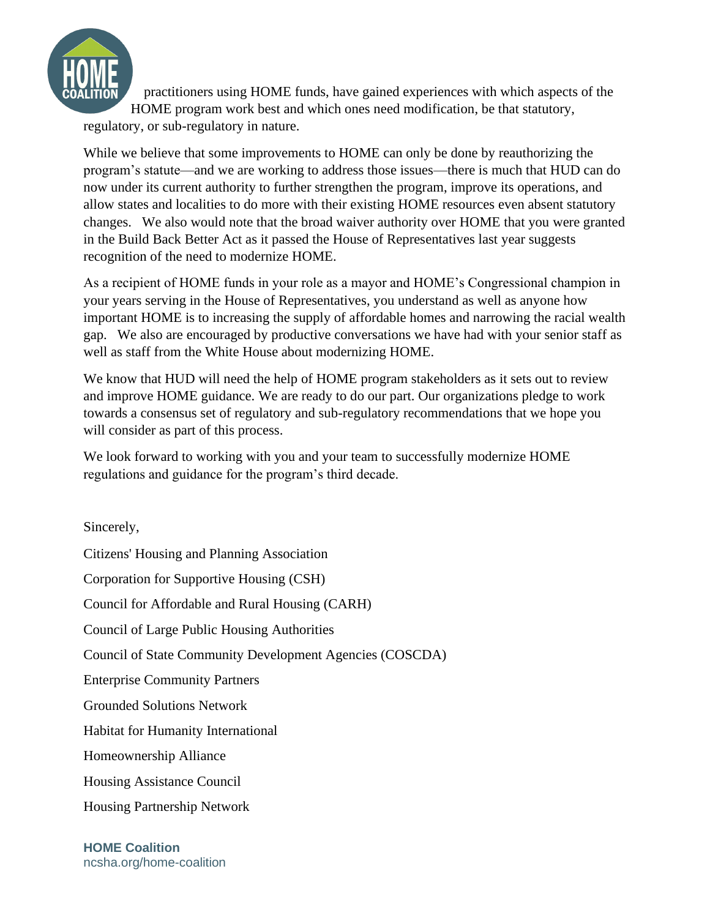

practitioners using HOME funds, have gained experiences with which aspects of the HOME program work best and which ones need modification, be that statutory, regulatory, or sub-regulatory in nature.

While we believe that some improvements to HOME can only be done by reauthorizing the program's statute—and we are working to address those issues—there is much that HUD can do now under its current authority to further strengthen the program, improve its operations, and allow states and localities to do more with their existing HOME resources even absent statutory changes. We also would note that the broad waiver authority over HOME that you were granted in the Build Back Better Act as it passed the House of Representatives last year suggests recognition of the need to modernize HOME.

As a recipient of HOME funds in your role as a mayor and HOME's Congressional champion in your years serving in the House of Representatives, you understand as well as anyone how important HOME is to increasing the supply of affordable homes and narrowing the racial wealth gap. We also are encouraged by productive conversations we have had with your senior staff as well as staff from the White House about modernizing HOME.

We know that HUD will need the help of HOME program stakeholders as it sets out to review and improve HOME guidance. We are ready to do our part. Our organizations pledge to work towards a consensus set of regulatory and sub-regulatory recommendations that we hope you will consider as part of this process.

We look forward to working with you and your team to successfully modernize HOME regulations and guidance for the program's third decade.

Sincerely, Citizens' Housing and Planning Association Corporation for Supportive Housing (CSH) Council for Affordable and Rural Housing (CARH) Council of Large Public Housing Authorities Council of State Community Development Agencies (COSCDA) Enterprise Community Partners Grounded Solutions Network Habitat for Humanity International Homeownership Alliance Housing Assistance Council Housing Partnership Network

**HOME Coalition** ncsha.org/home-coalition